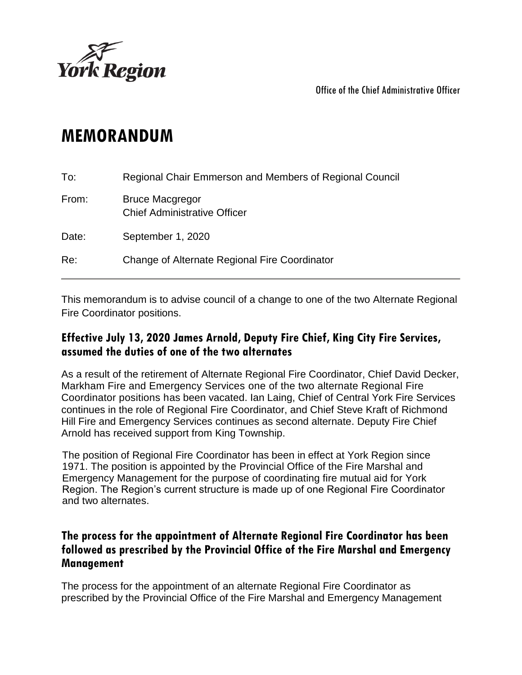

Office of the Chief Administrative Officer

## **MEMORANDUM**

| To:   | Regional Chair Emmerson and Members of Regional Council       |
|-------|---------------------------------------------------------------|
| From: | <b>Bruce Macgregor</b><br><b>Chief Administrative Officer</b> |
| Date: | September 1, 2020                                             |
| Re:   | Change of Alternate Regional Fire Coordinator                 |

This memorandum is to advise council of a change to one of the two Alternate Regional Fire Coordinator positions.

## **Effective July 13, 2020 James Arnold, Deputy Fire Chief, King City Fire Services, assumed the duties of one of the two alternates**

As a result of the retirement of Alternate Regional Fire Coordinator, Chief David Decker, Markham Fire and Emergency Services one of the two alternate Regional Fire Coordinator positions has been vacated. Ian Laing, Chief of Central York Fire Services continues in the role of Regional Fire Coordinator, and Chief Steve Kraft of Richmond Hill Fire and Emergency Services continues as second alternate. Deputy Fire Chief Arnold has received support from King Township.

The position of Regional Fire Coordinator has been in effect at York Region since 1971. The position is appointed by the Provincial Office of the Fire Marshal and Emergency Management for the purpose of coordinating fire mutual aid for York Region. The Region's current structure is made up of one Regional Fire Coordinator and two alternates.

## **The process for the appointment of Alternate Regional Fire Coordinator has been followed as prescribed by the Provincial Office of the Fire Marshal and Emergency Management**

The process for the appointment of an alternate Regional Fire Coordinator as prescribed by the Provincial Office of the Fire Marshal and Emergency Management